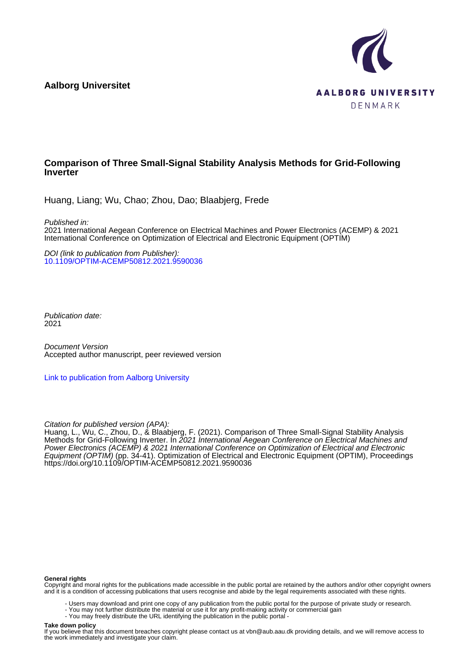**Aalborg Universitet**



# **Comparison of Three Small-Signal Stability Analysis Methods for Grid-Following Inverter**

Huang, Liang; Wu, Chao; Zhou, Dao; Blaabjerg, Frede

Published in:

2021 International Aegean Conference on Electrical Machines and Power Electronics (ACEMP) & 2021 International Conference on Optimization of Electrical and Electronic Equipment (OPTIM)

DOI (link to publication from Publisher): [10.1109/OPTIM-ACEMP50812.2021.9590036](https://doi.org/10.1109/OPTIM-ACEMP50812.2021.9590036)

Publication date: 2021

Document Version Accepted author manuscript, peer reviewed version

[Link to publication from Aalborg University](https://vbn.aau.dk/en/publications/24677902-e43d-420a-9b0b-d45b3439bdb4)

Citation for published version (APA):

Huang, L., Wu, C., Zhou, D., & Blaabjerg, F. (2021). Comparison of Three Small-Signal Stability Analysis Methods for Grid-Following Inverter. In 2021 International Aegean Conference on Electrical Machines and Power Electronics (ACEMP) & 2021 International Conference on Optimization of Electrical and Electronic Equipment (OPTIM) (pp. 34-41). Optimization of Electrical and Electronic Equipment (OPTIM), Proceedings <https://doi.org/10.1109/OPTIM-ACEMP50812.2021.9590036>

#### **General rights**

Copyright and moral rights for the publications made accessible in the public portal are retained by the authors and/or other copyright owners and it is a condition of accessing publications that users recognise and abide by the legal requirements associated with these rights.

- Users may download and print one copy of any publication from the public portal for the purpose of private study or research.
- You may not further distribute the material or use it for any profit-making activity or commercial gain
- You may freely distribute the URL identifying the publication in the public portal -

#### **Take down policy**

If you believe that this document breaches copyright please contact us at vbn@aub.aau.dk providing details, and we will remove access to the work immediately and investigate your claim.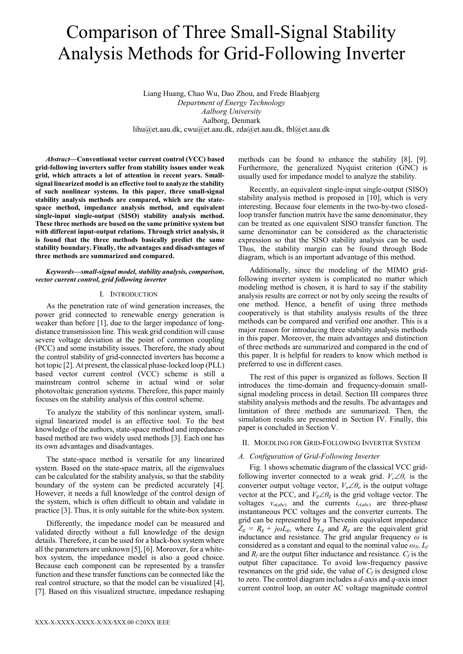# Comparison of Three Small-Signal Stability Analysis Methods for Grid-Following Inverter

Liang Huang, Chao Wu, Dao Zhou, and Frede Blaabjerg *Department of Energy Technology Aalborg University* Aalborg, Denmark lihu@et.aau.dk, cwu@et.aau.dk, zda@et.aau.dk, fbl@et.aau.dk

*Abstract***—Conventional vector current control (VCC) based grid-following inverters suffer from stability issues under weak grid, which attracts a lot of attention in recent years. Smallsignal linearized model is an effective tool to analyze the stability of such nonlinear systems. In this paper, three small-signal stability analysis methods are compared, which are the statespace method, impedance analysis method, and equivalent single-input single-output (SISO) stability analysis method. These three methods are based on the same primitive system but with different input-output relations. Through strict analysis, it is found that the three methods basically predict the same stability boundary. Finally, the advantages and disadvantages of three methods are summarized and compared.**

#### *Keywords—small-signal model, stability analysis, comparison, vector current control, grid following inverter*

#### I. INTRODUCTION

As the penetration rate of wind generation increases, the power grid connected to renewable energy generation is weaker than before [1], due to the larger impedance of longdistance transmission line. This weak grid condition will cause severe voltage deviation at the point of common coupling (PCC) and some instability issues. Therefore, the study about the control stability of grid-connected inverters has become a hot topic [2]. At present, the classical phase-locked loop (PLL) based vector current control (VCC) scheme is still a mainstream control scheme in actual wind or solar photovoltaic generation systems. Therefore, this paper mainly focuses on the stability analysis of this control scheme.

To analyze the stability of this nonlinear system, smallsignal linearized model is an effective tool. To the best knowledge of the authors, state-space method and impedancebased method are two widely used methods [3]. Each one has its own advantages and disadvantages.

The state-space method is versatile for any linearized system. Based on the state-space matrix, all the eigenvalues can be calculated for the stability analysis, so that the stability boundary of the system can be predicted accurately [4]. However, it needs a full knowledge of the control design of the system, which is often difficult to obtain and validate in practice [3]. Thus, it is only suitable for the white-box system.

Differently, the impedance model can be measured and validated directly without a full knowledge of the design details. Therefore, it can be used for a black-box system where all the parameters are unknown [5], [6]. Moreover, for a whitebox system, the impedance model is also a good choice. Because each component can be represented by a transfer function and these transfer functions can be connected like the real control structure, so that the model can be visualized [4], [7]. Based on this visualized structure, impedance reshaping methods can be found to enhance the stability [8], [9]. Furthermore, the generalized Nyquist criterion (GNC) is usually used for impedance model to analyze the stability.

Recently, an equivalent single-input single-output (SISO) stability analysis method is proposed in [10], which is very interesting. Because four elements in the two-by-two closedloop transfer function matrix have the same denominator, they can be treated as one equivalent SISO transfer function. The same denominator can be considered as the characteristic expression so that the SISO stability analysis can be used. Thus, the stability margin can be found through Bode diagram, which is an important advantage of this method.

Additionally, since the modeling of the MIMO gridfollowing inverter system is complicated no matter which modeling method is chosen, it is hard to say if the stability analysis results are correct or not by only seeing the results of one method. Hence, a benefit of using three methods cooperatively is that stability analysis results of the three methods can be compared and verified one another. This is a major reason for introducing three stability analysis methods in this paper. Moreover, the main advantages and distinction of three methods are summarized and compared in the end of this paper. It is helpful for readers to know which method is preferred to use in different cases.

The rest of this paper is organized as follows. Section II introduces the time-domain and frequency-domain smallsignal modeling process in detail. Section III compares three stability analysis methods and the results. The advantages and limitation of three methods are summarized. Then, the simulation results are presented in Section IV. Finally, this paper is concluded in Section V.

#### II. MOEDLING FOR GRID-FOLLOWING INVERTER SYSTEM

#### *A. Configuration of Grid-Following Inverter*

Fig. 1 shows schematic diagram of the classical VCC gridfollowing inverter connected to a weak grid.  $V_c \angle \theta_c$  is the converter output voltage vector,  $V_o \angle \theta_o$  is the output voltage vector at the PCC, and  $V_g \angle \theta_g$  is the grid voltage vector. The voltages  $v_{o(abc)}$  and the currents  $i_{c(abc)}$  are three-phase instantaneous PCC voltages and the converter currents. The grid can be represented by a Thevenin equivalent impedance  $Z_g = R_g + j\omega L_g$ , where  $L_g$  and  $R_g$  are the equivalent grid inductance and resistance. The grid angular frequency *ω* is considered as a constant and equal to the nominal value  $\omega_N$ .  $L_f$ and  $R_f$  are the output filter inductance and resistance.  $C_f$  is the output filter capacitance. To avoid low-frequency passive resonances on the grid side, the value of  $C_f$  is designed close to zero. The control diagram includes a  $d$ -axis and  $q$ -axis inner current control loop, an outer AC voltage magnitude control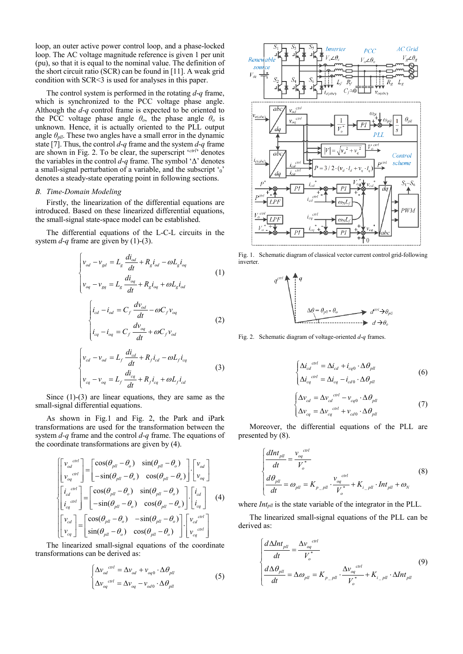loop, an outer active power control loop, and a phase-locked loop. The AC voltage magnitude reference is given 1 per unit (pu), so that it is equal to the nominal value. The definition of the short circuit ratio (SCR) can be found in [11]. A weak grid condition with SCR<3 is used for analyses in this paper.

The control system is performed in the rotating *d*-*q* frame, which is synchronized to the PCC voltage phase angle. Although the *d*-*q* control frame is expected to be oriented to the PCC voltage phase angle  $\theta_o$ , the phase angle  $\theta_o$  is unknown. Hence, it is actually oriented to the PLL output angle  $\theta_{\text{pll}}$ . These two angles have a small error in the dynamic state [7]. Thus, the control *d*-*q* frame and the system *d*-*q* frame are shown in Fig. 2. To be clear, the superscript '*ctrl*' denotes the variables in the control *d*-*q* frame. The symbol 'Δ' denotes a small-signal perturbation of a variable, and the subscript  $\gamma_0$ denotes a steady-state operating point in following sections.

#### *B. Time-Domain Modeling*

Firstly, the linearization of the differential equations are introduced. Based on these linearized differential equations, the small-signal state-space model can be established.

The differential equations of the L-C-L circuits in the system *d*-*q* frame are given by (1)-(3).

$$
\begin{cases}\nv_{od} - v_{gd} = L_g \frac{di_{od}}{dt} + R_g i_{od} - \omega L_g i_{og} \\
v_{og} - v_{gg} = L_g \frac{di_{og}}{dt} + R_g i_{og} + \omega L_g i_{od}\n\end{cases} (1)
$$

$$
\begin{cases}\ni_{cd} - i_{od} = C_f \frac{dv_{od}}{dt} - \omega C_f v_{og} \\
i_{cq} - i_{og} = C_f \frac{dv_{og}}{dt} + \omega C_f v_{od}\n\end{cases}
$$
\n(2)

$$
\begin{cases}\nv_{cd} - v_{od} = L_f \frac{di_{cd}}{dt} + R_f i_{cd} - \omega L_f i_{eq} \\
v_{cq} - v_{oq} = L_f \frac{di_{eq}}{dt} + R_f i_{eq} + \omega L_f i_{cd}\n\end{cases} (3)
$$

Since (1)-(3) are linear equations, they are same as the small-signal differential equations.

As shown in Fig.1 and Fig. 2, the Park and iPark transformations are used for the transformation between the system *d-q* frame and the control *d-q* frame. The equations of the coordinate transformations are given by (4).

$$
\begin{bmatrix}\n\begin{bmatrix}\nv_{od}^{ctrl} \\
v_{od}^{ctrl}\n\end{bmatrix} = \begin{bmatrix}\n\cos(\theta_{pll} - \theta_o) & \sin(\theta_{pll} - \theta_o) \\
-\sin(\theta_{pll} - \theta_o) & \cos(\theta_{pll} - \theta_o)\n\end{bmatrix} \cdot \begin{bmatrix}\nv_{od} \\
v_{og}\n\end{bmatrix} \\
\begin{bmatrix}\n\dot{i}_{cd}^{ctrl} \\
\dot{i}_{eq}^{ctrl}\n\end{bmatrix} = \begin{bmatrix}\n\cos(\theta_{pll} - \theta_o) & \sin(\theta_{pll} - \theta_o) \\
-\sin(\theta_{pll} - \theta_o) & \cos(\theta_{pll} - \theta_o)\n\end{bmatrix} \cdot \begin{bmatrix}\n\dot{i}_{cd} \\
\dot{i}_{eq}\n\end{bmatrix} (4) \\
\begin{bmatrix}\nv_{cd} \\
v_{cd}\n\end{bmatrix} = \begin{bmatrix}\n\cos(\theta_{pll} - \theta_o) & -\sin(\theta_{pll} - \theta_o)\n\end{bmatrix} \cdot \begin{bmatrix}\nv_{cd}^{ctrl} \\
v_{cd}^{ctrl}\n\end{bmatrix} \\
\begin{bmatrix}\nv_{cd} \\
v_{eq}\n\end{bmatrix} = \begin{bmatrix}\n\sin(\theta_{pll} - \theta_o) & \cos(\theta_{pll} - \theta_o)\n\end{bmatrix} \cdot \begin{bmatrix}\nv_{cd}^{ctrl} \\
v_{eq}^{ctrl}\n\end{bmatrix}
$$

The linearized small-signal equations of the coordinate transformations can be derived as:

$$
\begin{cases}\n\Delta v_{od}^{ctrl} = \Delta v_{od} + v_{og0} \cdot \Delta \theta_{pll} \\
\Delta v_{og}^{ctrl} = \Delta v_{og} - v_{od0} \cdot \Delta \theta_{pll}\n\end{cases}
$$
\n(5)



Fig. 1. Schematic diagram of classical vector current control grid-following inverter.



Fig. 2. Schematic diagram of voltage-oriented *d*-*q* frames.

$$
\begin{cases} \Delta i_{cd}^{ctrl} = \Delta i_{cd} + i_{cq0} \cdot \Delta \theta_{pll} \\ \Delta i_{cq}^{ctrl} = \Delta i_{cq} - i_{cd0} \cdot \Delta \theta_{pll} \end{cases}
$$
 (6)

$$
\begin{cases}\n\Delta v_{cd} = \Delta v_{cd}^{ \text{ \quad \ \ \, \cdots \quad \ \ \, } } -v_{cq0} \cdot \Delta \theta_{pll} \\
\Delta v_{cq} = \Delta v_{cq}^{ \text{ \quad \ \ \, \cdots \quad \ \ } } +v_{cd0} \cdot \Delta \theta_{pll}\n\end{cases}\n\tag{7}
$$

Moreover, the differential equations of the PLL are presented by (8).

$$
\begin{cases}\n\frac{dInt_{pll}}{dt} = \frac{v_{og}^{ctrl}}{V_o^*} \\
\frac{d\theta_{pll}}{dt} = \omega_{pll} = K_{p\_pll} \cdot \frac{v_{og}^{ctrl}}{V_o^*} + K_{i\_pll} \cdot Int_{pll} + \omega_N\n\end{cases}
$$
\n(8)

where *Int<sub>pll</sub>* is the state variable of the integrator in the PLL.

The linearized small-signal equations of the PLL can be derived as:

$$
\begin{cases}\n\frac{d\Delta Int_{\text{pll}}}{dt} = \frac{\Delta v_{\text{oq}}^{ \text{ctrl}}}{V_{\text{o}}^*}\n\\ \n\frac{d\Delta \theta_{\text{pll}}}{dt} = \Delta \omega_{\text{pll}} = K_{p\text{pll}} \cdot \frac{\Delta v_{\text{oq}}^{ \text{ctrl}}}{V_{\text{o}}^*} + K_{i\text{pll}} \cdot \Delta Int_{\text{pll}}\n\end{cases} \tag{9}
$$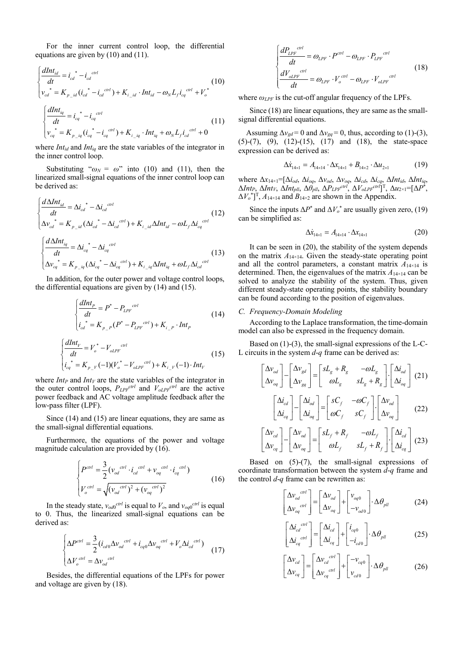For the inner current control loop, the differential equations are given by (10) and (11).

$$
\begin{cases}\n\frac{dInt_{id}}{dt} = i_{cd}^* - i_{cd}^{ctrl} \\
v_{cd}^* = K_{p_{id}}(i_{cd}^* - i_{cd}^{ctrl}) + K_{i_{id}} \cdot Int_{id} - \omega_N L_f i_{eq}^{ctrl} + V_o^*\n\end{cases} \tag{10}
$$
\n
$$
\begin{cases}\n\frac{dInt_{iq}}{dt} = i_{cq}^* - i_{cq}^{ctrl} \\
v_{cq}^* = K_{p_{id}}(i_{cq}^* - i_{cq}^{ctrl}) + K_{i_{id}} \cdot Int_{iq} + \omega_N L_f i_{cd}^{ctrl} + 0\n\end{cases} \tag{11}
$$

where *Intid* and *Intiq* are the state variables of the integrator in the inner control loop.

Substituting " $\omega_N = \omega$ " into (10) and (11), then the linearized small-signal equations of the inner control loop can be derived as:

$$
\begin{cases}\n\frac{d\Delta Int_{id}}{dt} = \Delta i_{cd}^* - \Delta i_{cd}^{ctrl} \\
\Delta v_{cd}^* = K_{p_{-id}} (\Delta i_{cd}^* - \Delta i_{cd}^{ctrl}) + K_{i_{-id}} \Delta Int_{id} - \omega L_f \Delta i_{eq}^{ctrl}\n\end{cases} (12)
$$
\n
$$
\begin{cases}\n\frac{d\Delta Int_{iq}}{dt} = \Delta i_{eq}^* - \Delta i_{eq}^{ctrl} \\
\Delta v_{eq}^* = K_{p_{-iq}} (\Delta i_{eq}^* - \Delta i_{eq}^{ctrl}) + K_{i_{-iq}} \Delta Int_{iq} + \omega L_f \Delta i_{cd}^{ctrl}\n\end{cases} (13)
$$

In addition, for the outer power and voltage control loops, the differential equations are given by (14) and (15).

$$
\begin{cases}\n\frac{dInt_P}{dt} = P^* - P_{LPF}^{crit} \\
i_{cd}^* = K_{P_P}(P^* - P_{LPF}^{crit}) + K_{i_P} \cdot Int_P\n\end{cases}
$$
\n(14)

$$
\begin{cases}\n\frac{dInt_V}{dt} = V_o^* - V_{oLPF}^{ctrl} \\
i_{eq}^* = K_{p_V}(-1)(V_o^* - V_{oLPF}^{ctrl}) + K_{i_V}(-1) \cdot Int_V\n\end{cases}
$$
\n(15)

where  $Int_P$  and  $Int_V$  are the state variables of the integrator in the outer control loops,  $P_{LPF}^{ctrl}$  and  $V_{oLPF}^{ctrl}$  are the active power feedback and AC voltage amplitude feedback after the low-pass filter (LPF).

Since (14) and (15) are linear equations, they are same as the small-signal differential equations.

Furthermore, the equations of the power and voltage magnitude calculation are provided by (16).

$$
\begin{cases}\nP^{ctrl} = \frac{3}{2} (v_{od}^{ctrl} \cdot i_{cd}^{ctrl} + v_{og}^{ctrl} \cdot i_{cq}^{ctrl}) \\
V_o^{ctrl} = \sqrt{(v_{od}^{ctrl})^2 + (v_{og}^{ctrl})^2}\n\end{cases}
$$
\n(16)

In the steady state,  $v_{\text{odd}}^{ctrl}$  is equal to  $V_o$ , and  $v_{\text{odd}}^{c}$  is equal to 0. Thus, the linearized small-signal equations can be derived as:

$$
\begin{cases}\n\Delta P^{ctrl} = \frac{3}{2} (i_{cd0} \Delta v_{od}^{ctrl} + i_{cq0} \Delta v_{og}^{ctrl} + V_o \Delta i_{cd}^{ctrl}) \\
\Delta V_o^{ctrl} = \Delta v_{od}^{ctrl}\n\end{cases}
$$
\n(17)

Besides, the differential equations of the LPFs for power and voltage are given by (18).

$$
\begin{cases}\n\frac{dP_{LPF}^{ctrl}}{dt} = \omega_{LPF} \cdot P^{ctrl} - \omega_{LPF} \cdot P_{LPF}^{ctrl} \\
\frac{dV_{oLPF}^{ctrl}}{dt} = \omega_{LPF} \cdot V_o^{ctrl} - \omega_{LPF} \cdot V_{oLPF}^{ctrl}\n\end{cases}
$$
\n(18)

where *ωLPF* is the cut-off angular frequency of the LPFs.

Since (18) are linear equations, they are same as the smallsignal differential equations.

Assuming  $\Delta v_{gd} = 0$  and  $\Delta v_{gg} = 0$ , thus, according to (1)-(3), (5)-(7), (9), (12)-(15), (17) and (18), the state-space expression can be derived as:

$$
\Delta \dot{x}_{14\times1} = A_{14\times14} \cdot \Delta x_{14\times1} + B_{14\times2} \cdot \Delta u_{2\times1}
$$
 (19)

where Δ*x*14×1=[Δ*iod*, Δ*ioq*, Δ*vod*, Δ*voq*, Δ*icd*, Δ*icq*, Δ*Intid*, Δ*Intiq*,  $\Delta Int_P$ ,  $\Delta Int_V$ ,  $\Delta Int_{pll}$ ,  $\Delta \theta_{pll}$ ,  $\Delta P_{LPF}^{ctrl}$ ,  $\Delta V_{oLPF}^{ctrl}]^T$ ,  $\Delta u_{2\times 1} = [\Delta P^*$ ,  $\Delta V_o^*$ <sup>T</sup>,  $A_{14\times14}$  and  $B_{14\times2}$  are shown in the Appendix.

Since the inputs  $\Delta P^*$  and  $\Delta V_o^*$  are usually given zero, (19) can be simplified as:

$$
\Delta \dot{x}_{14\times1} = A_{14\times14} \cdot \Delta x_{14\times1} \tag{20}
$$

It can be seen in (20), the stability of the system depends on the matrix *A*14×14. Given the steady-state operating point and all the control parameters, a constant matrix  $A_{14\times14}$  is determined. Then, the eigenvalues of the matrix *A*14×14 can be solved to analyze the stability of the system. Thus, given different steady-state operating points, the stability boundary can be found according to the position of eigenvalues.

#### *C. Frequency-Domain Modeling*

According to the Laplace transformation, the time-domain model can also be expressed in the frequency domain.

Based on (1)-(3), the small-signal expressions of the L-C-L circuits in the system *d*-*q* frame can be derived as:

$$
\begin{bmatrix}\n\Delta v_{od} \\
\Delta v_{og}\n\end{bmatrix} - \begin{bmatrix}\n\Delta v_{gd} \\
\Delta v_{gg}\n\end{bmatrix} = \begin{bmatrix}\n sL_g + R_g & -\omega L_g \\
 \omega L_g & sL_g + R_g\n\end{bmatrix} \cdot \begin{bmatrix}\n\Delta i_{od} \\
\Delta i_{og}\n\end{bmatrix} (21)
$$
\n
$$
\begin{bmatrix}\n\Delta i_{cd} \\
\Delta i_{cq}\n\end{bmatrix} - \begin{bmatrix}\n\Delta i_{od} \\
\Delta i_{og}\n\end{bmatrix} = \begin{bmatrix}\n sC_f & -\omega C_f \\
 \omega C_f & sC_f\n\end{bmatrix} \cdot \begin{bmatrix}\n\Delta v_{od} \\
\Delta v_{og}\n\end{bmatrix} (22)
$$
\n
$$
\begin{bmatrix}\n\Delta v_{cd} \\
\Delta v_{cd}\n\end{bmatrix} - \begin{bmatrix}\n\Delta v_{od} \\
\Delta v_{od}\n\end{bmatrix} = \begin{bmatrix}\n sL_f + R_f & -\omega L_f\n\end{bmatrix} \cdot \begin{bmatrix}\n\Delta i_{cd} \\
\Delta v_{cd}\n\end{bmatrix} (22)
$$

$$
\begin{bmatrix} \Delta v_{cd} \\ \Delta v_{cq} \end{bmatrix} - \begin{bmatrix} \Delta v_{od} \\ \Delta v_{oq} \end{bmatrix} = \begin{bmatrix} sL_f + R_f & -\omega L_f \\ \omega L_f & sL_f + R_f \end{bmatrix} \cdot \begin{bmatrix} \Delta i_{cd} \\ \Delta i_{cq} \end{bmatrix} (23)
$$

Based on (5)-(7), the small-signal expressions of coordinate transformation between the system *d*-*q* frame and the control *d*-*q* frame can be rewritten as:

$$
\begin{bmatrix}\n\Delta v_{od}^{ctrl} \\
\Delta v_{og}^{ctrl}\n\end{bmatrix} = \begin{bmatrix}\n\Delta v_{od} \\
\Delta v_{og}\n\end{bmatrix} + \begin{bmatrix}\nv_{og0} \\
-v_{od0}\n\end{bmatrix} \cdot \Delta \theta_{pll}
$$
\n(24)

$$
\begin{bmatrix} \Delta i_{cd}^{c} \\ \Delta i_{cq}^{c} \end{bmatrix} = \begin{bmatrix} \Delta i_{cd} \\ \Delta i_{cq} \end{bmatrix} + \begin{bmatrix} i_{cq0} \\ -i_{cd0} \end{bmatrix} \cdot \Delta \theta_{pll}
$$
 (25)

$$
\begin{bmatrix}\n\Delta v_{cd} \\
\Delta v_{cq}\n\end{bmatrix} = \begin{bmatrix}\n\Delta v_{cd}^{c} & \Delta v_{cd}^{c} \\
\Delta v_{cq}^{c} & \Delta v_{cd}^{c}\n\end{bmatrix} + \begin{bmatrix}\n-v_{cq0} \\
v_{cd0}\n\end{bmatrix} \cdot \Delta \theta_{pll}
$$
\n(26)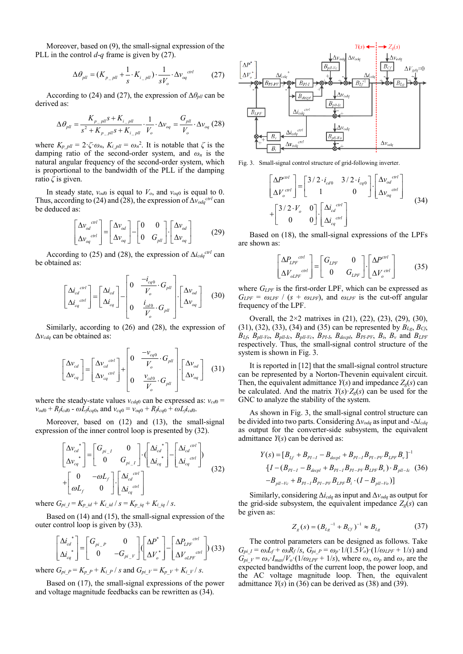Moreover, based on (9), the small-signal expression of the PLL in the control *d*-*q* frame is given by (27).

$$
\Delta \theta_{\text{pll}} = (K_{p\_\text{pll}} + \frac{1}{s} \cdot K_{i\_\text{pll}}) \cdot \frac{1}{sV_o} \cdot \Delta v_{oq}^{\text{ctrl}} \tag{27}
$$

According to (24) and (27), the expression of  $\Delta\theta_{\text{all}}$  can be derived as:

$$
\Delta \theta_{\text{pll}} = \frac{K_{p_{\text{p}}\text{pll}}s + K_{i_{\text{p}}\text{pll}}}{s^2 + K_{p_{\text{p}}\text{pll}}s + K_{i_{\text{p}}\text{pll}} \cdot \frac{1}{V_o} \cdot \Delta v_{\text{oq}} = \frac{G_{\text{pll}}}{V_o} \cdot \Delta v_{\text{oq}} \ (28)
$$

where  $K_{p\_pll} = 2 \cdot \zeta \cdot \omega_n$ ,  $K_{i\_pll} = \omega_n^2$ . It is notable that  $\zeta$  is the damping ratio of the second-order system, and *ω<sup>n</sup>* is the natural angular frequency of the second-order system, which is proportional to the bandwidth of the PLL if the damping ratio *ζ* is given.

In steady state,  $v_{\text{o}d0}$  is equal to  $V_{\text{o}}$ , and  $v_{\text{o}q0}$  is equal to 0. Thus, according to (24) and (28), the expression of  $\Delta v_{\text{odd}}^{c\text{trl}}$  can be deduced as:

$$
\begin{bmatrix} \Delta v_{od}^{ctrl} \\ \Delta v_{og}^{ctrl} \end{bmatrix} = \begin{bmatrix} \Delta v_{od} \\ \Delta v_{og} \end{bmatrix} - \begin{bmatrix} 0 & 0 \\ 0 & G_{pll} \end{bmatrix} \cdot \begin{bmatrix} \Delta v_{od} \\ \Delta v_{og} \end{bmatrix}
$$
 (29)

According to (25) and (28), the expression of  $\Delta i_{cda}^{ctrl}$  can be obtained as:

$$
\begin{bmatrix}\n\Delta i_{cd}^{c}^{c} \\
\Delta i_{cq}^{c} \\
\end{bmatrix} = \begin{bmatrix}\n\Delta i_{cd} \\
\Delta i_{cq}\n\end{bmatrix} - \begin{bmatrix}\n0 & \frac{-i_{cq0}}{V_o} \cdot G_{pll} \\
0 & \frac{i_{cd0}}{V_o} \cdot G_{pll}\n\end{bmatrix} \cdot \begin{bmatrix}\n\Delta v_{od} \\
\Delta v_{oq}\n\end{bmatrix}
$$
\n(30)

Similarly, according to (26) and (28), the expression of Δ*vcdq* can be obtained as:

$$
\begin{bmatrix}\n\Delta v_{cd} \\
\Delta v_{cq}\n\end{bmatrix} = \begin{bmatrix}\n\Delta v_{cd}^{ctrl} \\
\Delta v_{cq}^{ctrl}\n\end{bmatrix} + \begin{bmatrix}\n0 & \frac{-v_{cq0}}{V_o} \cdot G_{pll} \\
0 & \frac{v_{cd0}}{V_o} \cdot G_{pll}\n\end{bmatrix} \cdot \begin{bmatrix}\n\Delta v_{od} \\
\Delta v_{oq}\n\end{bmatrix}
$$
\n(31)

where the steady-state values  $v_{cdq0}$  can be expressed as:  $v_{cd0}$  =  $v_{\text{o}d0} + R_{\text{f}i_{\text{cd}0}} - \omega L_{\text{f}i_{\text{cq}0}}$ , and  $v_{\text{cq}0} = v_{\text{o}q0} + R_{\text{f}i_{\text{cq}0}} + \omega L_{\text{f}i_{\text{cd}0}}$ .

Moreover, based on (12) and (13), the small-signal expression of the inner control loop is presented by (32).

$$
\begin{bmatrix}\n\Delta v_{cd}^*\n\\
\Delta v_{cq}^*\n\end{bmatrix} = \begin{bmatrix}\nG_{pi\_I} & 0 \\
0 & G_{pi\_I}\n\end{bmatrix} \cdot \begin{bmatrix}\n\Delta i_{cd}^*\n\\
\Delta i_{cq}^*\n\end{bmatrix} - \begin{bmatrix}\n\Delta i_{cd}^{ctrl} \\
\Delta i_{cq}^{ctrl}\n\end{bmatrix}
$$
\n
$$
+ \begin{bmatrix}\n0 & -\omega L_f \\
\omega L_f & 0\n\end{bmatrix} \cdot \begin{bmatrix}\n\Delta i_{cd}^{ctrl} \\
\Delta i_{cq}^{ctrl}\n\end{bmatrix}
$$
\n(32)

where  $G_{pi_1} = K_{p_id} + K_{i_id} / s = K_{p_id} + K_{i_id} / s$ .

Based on (14) and (15), the small-signal expression of the outer control loop is given by (33).

$$
\begin{bmatrix} \Delta i_{cd}^{*} \\ \Delta i_{cq}^{*} \end{bmatrix} = \begin{bmatrix} G_{pi_P} & 0 \\ 0 & -G_{pi_P} \end{bmatrix} \begin{bmatrix} \Delta P^{*} \\ \Delta V_o^{*} \end{bmatrix} - \begin{bmatrix} \Delta P_{LPF}^{crit} \\ \Delta V_{oLPF}^{crit} \end{bmatrix}
$$
 (33)

where  $G_{pi}P = K_{p}P + K_{i}P / s$  and  $G_{pi}V = K_{p}V + K_{i}V / s$ .

Based on (17), the small-signal expressions of the power and voltage magnitude feedbacks can be rewritten as (34).



Fig. 3. Small-signal control structure of grid-following inverter.

$$
\begin{bmatrix}\n\Delta P^{ctrl} \\
\Delta V_c^{ctrl}\n\end{bmatrix} = \begin{bmatrix}\n3/2 \cdot i_{cd0} & 3/2 \cdot i_{cq0} \\
1 & 0\n\end{bmatrix} \cdot \begin{bmatrix}\n\Delta v_{od}^{ctrl} \\
\Delta v_{og}^{ctrl}\n\end{bmatrix} + \begin{bmatrix}\n3/2 \cdot V_o & 0 \\
0 & 0\n\end{bmatrix} \cdot \begin{bmatrix}\n\Delta i_{cd}^{ctrl} \\
\Delta i_{cq}^{ctrl}\n\end{bmatrix}
$$
\n(34)

Based on (18), the small-signal expressions of the LPFs are shown as:

$$
\begin{bmatrix}\n\Delta P_{LPF}^{ctrl} \\
\Delta V_{oLPF}^{ctrl}\n\end{bmatrix} = \begin{bmatrix}\nG_{LPF} & 0 \\
0 & G_{LPF}\n\end{bmatrix} \cdot \begin{bmatrix}\n\Delta P^{ctrl} \\
\Delta V_o^{ctrl}\n\end{bmatrix}
$$
\n(35)

where *G<sub>LPF</sub>* is the first-order LPF, which can be expressed as  $G_{LPF} = \omega_{LPF} / (s + \omega_{LPF})$ , and  $\omega_{LPF}$  is the cut-off angular frequency of the LPF.

Overall, the 2×2 matrixes in (21), (22), (23), (29), (30), (31), (32), (33), (34) and (35) can be represented by  $B_{Lg}$ ,  $B_{Cf}$ ,  $B_{Lf}$ ,  $B_{pll-1/c}$ ,  $B_{pll-1/c}$ ,  $B_{pll-1/c}$ ,  $B_{pll-1/c}$ ,  $B_{pll-1/c}$ ,  $B_{pll-1/c}$ ,  $B_{pll-1/c}$ ,  $B_{pll-1/c}$ ,  $B_{pll-1/c}$ ,  $B_{pll-1/c}$ ,  $B_{pll-1/c}$ ,  $B_{pll-1/c}$ ,  $B_{pll-1/c}$ ,  $B_{pll-1/c}$ ,  $B_{pll-1/c}$ ,  $B_{pll-1/c}$ ,  $B_{pll-1/c}$ ,  $B_{pll-1/c}$ respectively. Thus, the small-signal control structure of the system is shown in Fig. 3.

It is reported in [12] that the small-signal control structure can be represented by a Norton-Thevenin equivalent circuit. Then, the equivalent admittance  $Y(s)$  and impedance  $Z_g(s)$  can be calculated. And the matrix  $Y(s) \cdot Z_g(s)$  can be used for the GNC to analyze the stability of the system.

As shown in Fig. 3, the small-signal control structure can be divided into two parts. Considering Δ*vodq* as input and -Δ*icdq* as output for the converter-side subsystem, the equivalent admittance *Y*(*s*) can be derived as:

$$
Y(s) = [B_{Lf} + B_{PI-I} - B_{decpl} + B_{PI-I}B_{PI-PV}B_{LPF}B_{v}]^{-1}
$$
  
\n
$$
\{I - (B_{PI-I} - B_{decpl} + B_{PI-I}B_{PI-PV}B_{LPF}B_{v}) \cdot B_{pll-Ic} (36)
$$
  
\n
$$
-B_{pll-Vc} + B_{PI-I}B_{PI-PV}B_{LPF}B_{i} \cdot (I - B_{pll-Vo})]
$$

Similarly, considering Δ*icdq* as input and Δ*vodq* as output for the grid-side subsystem, the equivalent impedance  $Z_g(s)$  can be given as:

$$
Z_g(s) = (B_{Lg}^{-1} + B_{cy})^{-1} \approx B_{Lg}
$$
 (37)

The control parameters can be designed as follows. Take  $G_{pi} = \omega_i L_f + \omega_i R_f / s$ ,  $G_{pi} = \omega_p \cdot 1 / (1.5 V_o) \cdot (1 / \omega_{LPF} + 1 / s)$  and  $G_{pi}$ <sup>*v*</sup> =  $\omega$ <sup>*v*</sup>·*I<sub>max</sub>*/*V*<sub>*o*</sub>·(1/ $\omega$ <sub>*LPF*</sub> + 1/*s*), where  $\omega$ *i*,  $\omega$ *<sub><i>p*</sub> and  $\omega$ <sup>*v*</sup> are the expected bandwidths of the current loop, the power loop, and the AC voltage magnitude loop. Then, the equivalent admittance  $Y(s)$  in (36) can be derived as (38) and (39).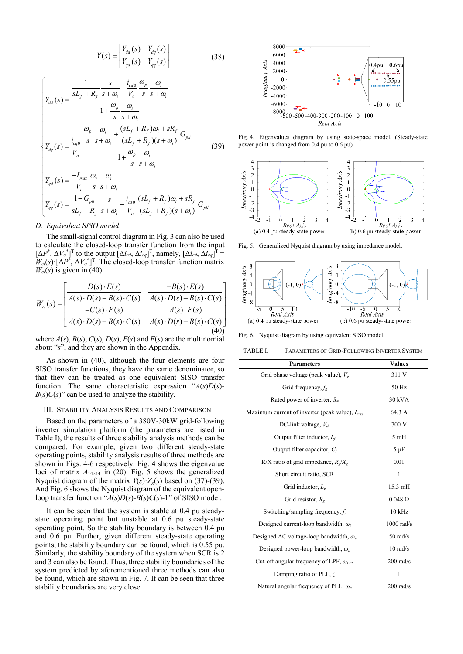$$
Y(s) = \begin{bmatrix} Y_{dd}(s) & Y_{dq}(s) \\ Y_{qd}(s) & Y_{qq}(s) \end{bmatrix}
$$
 (38)

$$
\begin{cases}\n\gamma_{dd}(s) = \frac{\frac{1}{sL_f + R_f} \frac{s}{s + \omega_i} + \frac{i_{cd0}}{V_o} \frac{\omega_p}{s} \frac{\omega_i}{s + \omega_i}}{1 + \frac{\omega_p}{s} \frac{\omega_i}{s + \omega_i}} \\
\frac{\omega_p}{s} \frac{\omega_i}{s + \omega_i} + \frac{(sL_f + R_f)\omega_i + sR_f}{(sL_f + R_f)(s + \omega_i)} G_{pll} \\
\gamma_{dq}(s) = \frac{i_{eq0}}{V_o} \frac{\frac{s}{s} \frac{\omega_i}{s + \omega_i} + \frac{(sL_f + R_f)\omega_i + sR_f}{(sL_f + R_f)(s + \omega_i)}}{1 + \frac{\omega_p}{s} \frac{\omega_i}{s + \omega_i}} \\
\gamma_{qd}(s) = \frac{-I_{max}}{V_o} \frac{\omega_i}{s} \frac{\omega_i}{s + \omega_i} \\
\gamma_{qq}(s) = \frac{1 - G_{pll}}{sL_f + R_f} \frac{s}{s + \omega_i} - \frac{i_{cd0}}{V_o} \frac{(sL_f + R_f)\omega_i + sR_f}{(sL_f + R_f)(s + \omega_i)} G_{pll}\n\end{cases} (39)
$$

#### *D. Equivalent SISO model*

The small-signal control diagram in Fig. 3 can also be used to calculate the closed-loop transfer function from the input  $[\Delta P^*, \Delta V_o^*]^T$  to the output  $[\Delta i_{cd}, \Delta i_{cq}]^T$ , namely,  $[\Delta i_{cd}, \Delta i_{cq}]^T =$  $W_{cl}(s)$  [ $\Delta P^*$ ,  $\Delta V_o^*$ ]<sup>T</sup>. The closed-loop transfer function matrix  $W_{cl}(s)$  is given in (40).

$$
W_{cl}(s) = \begin{bmatrix} D(s) \cdot E(s) & -B(s) \cdot E(s) \\ \hline A(s) \cdot D(s) - B(s) \cdot C(s) & A(s) \cdot D(s) - B(s) \cdot C(s) \\ \hline -C(s) \cdot F(s) & A(s) \cdot F(s) \\ \hline A(s) \cdot D(s) - B(s) \cdot C(s) & A(s) \cdot D(s) - B(s) \cdot C(s) \end{bmatrix}
$$
\n(40)

where  $A(s)$ ,  $B(s)$ ,  $C(s)$ ,  $D(s)$ ,  $E(s)$  and  $F(s)$  are the multinomial about "*s*", and they are shown in the Appendix.

As shown in (40), although the four elements are four SISO transfer functions, they have the same denominator, so that they can be treated as one equivalent SISO transfer function. The same characteristic expression "*A*(*s*)*D*(*s*)-  $B(s)C(s)$ " can be used to analyze the stability.

## III. STABILITY ANALYSIS RESULTS AND COMPARISON

Based on the parameters of a 380V-30kW grid-following inverter simulation platform (the parameters are listed in Table I), the results of three stability analysis methods can be compared. For example, given two different steady-state operating points, stability analysis results of three methods are shown in Figs. 4-6 respectively. Fig. 4 shows the eigenvalue loci of matrix  $A_{14\times14}$  in (20). Fig. 5 shows the generalized Nyquist diagram of the matrix  $Y(s) \cdot Z_g(s)$  based on (37)-(39). And Fig. 6 shows the Nyquist diagram of the equivalent openloop transfer function " $A(s)D(s)$ - $B(s)C(s)$ -1" of SISO model.

It can be seen that the system is stable at 0.4 pu steadystate operating point but unstable at 0.6 pu steady-state operating point. So the stability boundary is between 0.4 pu and 0.6 pu. Further, given different steady-state operating points, the stability boundary can be found, which is 0.55 pu. Similarly, the stability boundary of the system when SCR is 2 and 3 can also be found. Thus, three stability boundaries of the system predicted by aforementioned three methods can also be found, which are shown in Fig. 7. It can be seen that three stability boundaries are very close.



Fig. 4. Eigenvalues diagram by using state-space model. (Steady-state power point is changed from 0.4 pu to 0.6 pu)



Fig. 5. Generalized Nyquist diagram by using impedance model.



Fig. 6. Nyquist diagram by using equivalent SISO model.

| TABLE I. | <b>PARAMETERS OF GRID-FOLLOWING INVERTER SYSTEM</b> |  |
|----------|-----------------------------------------------------|--|
|----------|-----------------------------------------------------|--|

| <b>Parameters</b>                                   | <b>Values</b>       |
|-----------------------------------------------------|---------------------|
| Grid phase voltage (peak value), $V_g$              | 311 V               |
| Grid frequency, $f_{\rm g}$                         | 50 Hz               |
| Rated power of inverter, $S_N$                      | 30 kVA              |
| Maximum current of inverter (peak value), $I_{max}$ | 64.3 A              |
| DC-link voltage, $V_{dc}$                           | 700 V               |
| Output filter inductor, $L_f$                       | 5mH                 |
| Output filter capacitor, $C_f$                      | $5 \mu F$           |
| R/X ratio of grid impedance, $R_e/X_e$              | 0.01                |
| Short circuit ratio, SCR                            | 1                   |
| Grid inductor, $L_{\varphi}$                        | $15.3 \text{ mH}$   |
| Grid resistor, $R_{\sigma}$                         | $0.048 \Omega$      |
| Switching/sampling frequency, $f_s$                 | $10$ kHz            |
| Designed current-loop bandwidth, $\omega_i$         | $1000$ rad/s        |
| Designed AC voltage-loop bandwidth, $\omega_{v}$    | $50$ rad/s          |
| Designed power-loop bandwidth, $\omega_p$           | $10$ rad/s          |
| Cut-off angular frequency of LPF, $\omega_{LPF}$    | $200$ rad/s         |
| Damping ratio of PLL, $\zeta$                       | 1                   |
| Natural angular frequency of PLL, $\omega_n$        | $200 \text{ rad/s}$ |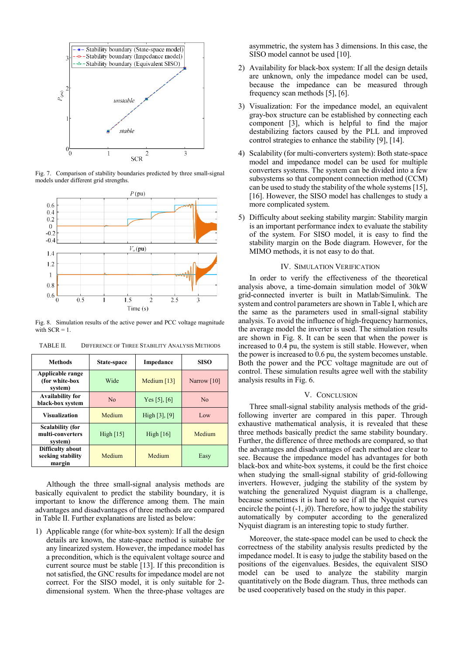

Fig. 7. Comparison of stability boundaries predicted by three small-signal models under different grid strengths.



Fig. 8. Simulation results of the active power and PCC voltage magnitude with  $SCR = 1$ .

| <b>Methods</b>                                         | State-space | Impedance          | <b>SISO</b>    |
|--------------------------------------------------------|-------------|--------------------|----------------|
| Applicable range<br>(for white-box<br>system)          | Wide        | Medium $[13]$      | Narrow $[10]$  |
| <b>Availability for</b><br>black-box system            | No          | Yes [5], $[6]$     | N <sub>0</sub> |
| <b>Visualization</b>                                   | Medium      | High $[3]$ , $[9]$ | Low            |
| <b>Scalability (for</b><br>multi-converters<br>system) | High $[15]$ | High $[16]$        | Medium         |
| Difficulty about<br>seeking stability<br>margin        | Medium      | Medium             | Easy           |

TABLE II. DIFFERENCE OF THREE STABILITY ANALYSIS METHODS

Although the three small-signal analysis methods are basically equivalent to predict the stability boundary, it is important to know the difference among them. The main advantages and disadvantages of three methods are compared in Table II. Further explanations are listed as below:

1) Applicable range (for white-box system): If all the design details are known, the state-space method is suitable for any linearized system. However, the impedance model has a precondition, which is the equivalent voltage source and current source must be stable [13]. If this precondition is not satisfied, the GNC results for impedance model are not correct. For the SISO model, it is only suitable for 2 dimensional system. When the three-phase voltages are asymmetric, the system has 3 dimensions. In this case, the SISO model cannot be used [10].

- 2) Availability for black-box system: If all the design details are unknown, only the impedance model can be used, because the impedance can be measured through frequency scan methods [5], [6].
- 3) Visualization: For the impedance model, an equivalent gray-box structure can be established by connecting each component [3], which is helpful to find the major destabilizing factors caused by the PLL and improved control strategies to enhance the stability [9], [14].
- 4) Scalability (for multi-converters system): Both state-space model and impedance model can be used for multiple converters systems. The system can be divided into a few subsystems so that component connection method (CCM) can be used to study the stability of the whole systems [15], [16]. However, the SISO model has challenges to study a more complicated system.
- 5) Difficulty about seeking stability margin: Stability margin is an important performance index to evaluate the stability of the system. For SISO model, it is easy to find the stability margin on the Bode diagram. However, for the MIMO methods, it is not easy to do that.

#### IV. SIMULATION VERIFICATION

In order to verify the effectiveness of the theoretical analysis above, a time-domain simulation model of 30kW grid-connected inverter is built in Matlab/Simulink. The system and control parameters are shown in Table I, which are the same as the parameters used in small-signal stability analysis. To avoid the influence of high-frequency harmonics, the average model the inverter is used. The simulation results are shown in Fig. 8. It can be seen that when the power is increased to 0.4 pu, the system is still stable. However, when the power is increased to 0.6 pu, the system becomes unstable. Both the power and the PCC voltage magnitude are out of control. These simulation results agree well with the stability analysis results in Fig. 6.

### V. CONCLUSION

Three small-signal stability analysis methods of the gridfollowing inverter are compared in this paper. Through exhaustive mathematical analysis, it is revealed that these three methods basically predict the same stability boundary. Further, the difference of three methods are compared, so that the advantages and disadvantages of each method are clear to see. Because the impedance model has advantages for both black-box and white-box systems, it could be the first choice when studying the small-signal stability of grid-following inverters. However, judging the stability of the system by watching the generalized Nyquist diagram is a challenge, because sometimes it is hard to see if all the Nyquist curves encircle the point  $(-1, j0)$ . Therefore, how to judge the stability automatically by computer according to the generalized Nyquist diagram is an interesting topic to study further.

Moreover, the state-space model can be used to check the correctness of the stability analysis results predicted by the impedance model. It is easy to judge the stability based on the positions of the eigenvalues. Besides, the equivalent SISO model can be used to analyze the stability margin quantitatively on the Bode diagram. Thus, three methods can be used cooperatively based on the study in this paper.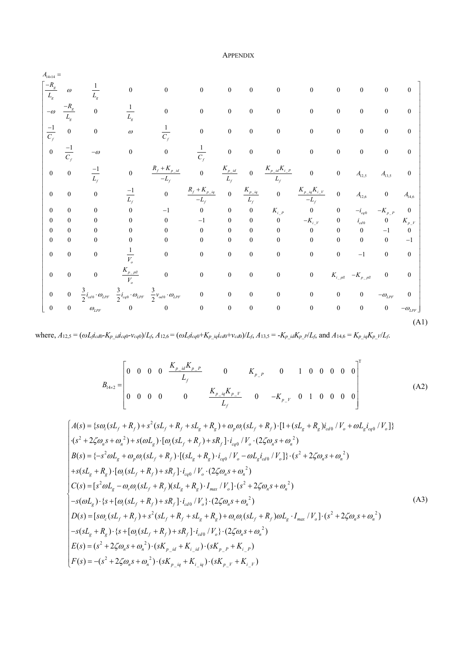# APPENDIX

14 14 \_ \_ \_ \_ 12,5 13,5 \_ \_ \_ \_ 12,6 14,6 <sup>1</sup> 0 0 0 00 0 0 0 0 0 0 <sup>1</sup> <sup>0</sup> 0 0 00 0 0 0 0 0 0 1 1 0 0 0 00 0 0 0 0 0 0 1 1 <sup>0</sup> 0 0 00 0 0 0 0 0 0 <sup>1</sup> 0 0 <sup>0</sup> 0 0 0 0 <sup>0</sup> <sup>1</sup> 00 0 <sup>0</sup> 0 0 0 0 00 0 0 1 0 0 0 *g g g g g g f f f f f p id p id p id i P f f ff f p iq p iq p iq i V f ff f A R L L R L L C C C C R K K KK A A L L LL RK K K K A A L LL L K* ω ω ω ω <sup>×</sup> = − <sup>−</sup> <sup>−</sup> − <sup>−</sup> <sup>−</sup> − + − − + − − − \_ 0 \_ \_ 0\_ \_ \_ 00 0 0 0 0 00 0 0 0 1 0 0 0 0 0 00 0 0 0 0 0 0 0 0 0 0 1 0 00 0 0 0 0 0 0 0 0 0 0 0 1 <sup>1</sup> 00 0 0 0 0 0 0 0 0 1 0 0 00 0 0 0 0 0 0 0 0 0 <sup>333</sup> 0 0 0 0 0 0 0 0 0 0 222 0 0 0 0 0 0 0 0 0 0 0 0 *i P cq p P i V cd p V o p pll i pll p pll o cd LPF cq LPF od LPF LPF LPF LPF i K K iK V K K K V iiv* ωω <sup>ω</sup> <sup>ω</sup> ω ω − − − − − − − − ⋅⋅ ⋅ − − (A1)

where,  $A_{12,5} = (\omega L j_{cd0} - K_{p\_id} i_{cq0} - v_{cq0})/L_f$ ,  $A_{12,6} = (\omega L j_{cq0} + K_{p\_iq} i_{cd0} + v_{cd0})/L_f$ ,  $A_{13,5} = -K_{p\_id} K_{p\_p}/L_f$ , and  $A_{14,6} = K_{p\_iq} K_{p\_p}/L_f$ .

$$
B_{14\times 2} = \begin{bmatrix} 0 & 0 & 0 & 0 & \frac{K_{p\_id}K_{p\_p}}{L_f} & 0 & K_{p\_p} & 0 & 1 & 0 & 0 & 0 & 0 \ 0 & 0 & 0 & 0 & 0 & \frac{K_{p\_iq}K_{p\_p}}{L_f} & 0 & -K_{p\_p} & 0 & 1 & 0 & 0 & 0 & 0 \end{bmatrix}^{\mathrm{T}}
$$
(A2)

$$
\begin{cases}\nA(s) = \{s\omega_i(sL_f + R_f) + s^2(sL_f + R_f + sL_g + R_g) + \omega_p\omega_i(sL_f + R_f) \cdot [1 + (sL_g + R_g)i_{cd0}/V_o + \omega L_gi_{cq0}/V_o]\} \\
\cdot (s^2 + 2\zeta\omega_n s + \omega_n^2) + s(\omega L_g) \cdot [\omega_i(sL_f + R_f) + sR_f] \cdot i_{cq0}/V_o \cdot (2\zeta\omega_n s + \omega_n^2) \\
B(s) = \{-s^2\omega L_g + \omega_p\omega_i(sL_f + R_f) \cdot [(sL_g + R_g) \cdot i_{cq0}/V_o - \omega L_gi_{cd0}/V_o]\} \cdot (s^2 + 2\zeta\omega_n s + \omega_n^2) \\
+ s(sL_g + R_g) \cdot [\omega_i(sL_f + R_f) + sR_f] \cdot i_{cq0}/V_o \cdot (2\zeta\omega_n s + \omega_n^2) \\
C(s) = [s^2\omega L_g - \omega_v\omega_i(sL_f + R_f)(sL_g + R_g) \cdot I_{max}/V_o] \cdot (s^2 + 2\zeta\omega_n s + \omega_n^2) \\
-s(\omega L_g) \cdot \{s + [\omega_i(sL_f + R_f) + sR_f] \cdot i_{cd0}/V_o\} \cdot (2\zeta\omega_n s + \omega_n^2)\n\end{cases}
$$
\n
$$
\begin{cases}\nD(s) = [s\omega_c(sL_f + R_f) + s^2(sL_f + R_f + sL_g + R_g) + \omega_v\omega_i(sL_f + R_f)\omega L_g \cdot I_{max}/V_o] \cdot (s^2 + 2\zeta\omega_n s + \omega_n^2) \\
-S(sL_g + R_g) \cdot \{s + [\omega_i(sL_f + R_f) + sR_f] \cdot i_{cd0}/V_o\} \cdot (2\zeta\omega_n s + \omega_n^2)\n\end{cases}
$$
\n
$$
E(s) = (s^2 + 2\zeta\omega_n s + \omega_n^2) \cdot (sK_{p_id} + K_{i_id}) \cdot (sK_{p_p} + K_{i_p})\n\end{cases}
$$
\n
$$
F(s) = -s^2 + 2\zeta\omega_n s + \omega_n^2) \cdot (sK_{p_id} + K_{i_id}) \cdot (sK_{p_p} + K_{i_p})
$$
\n(A3)